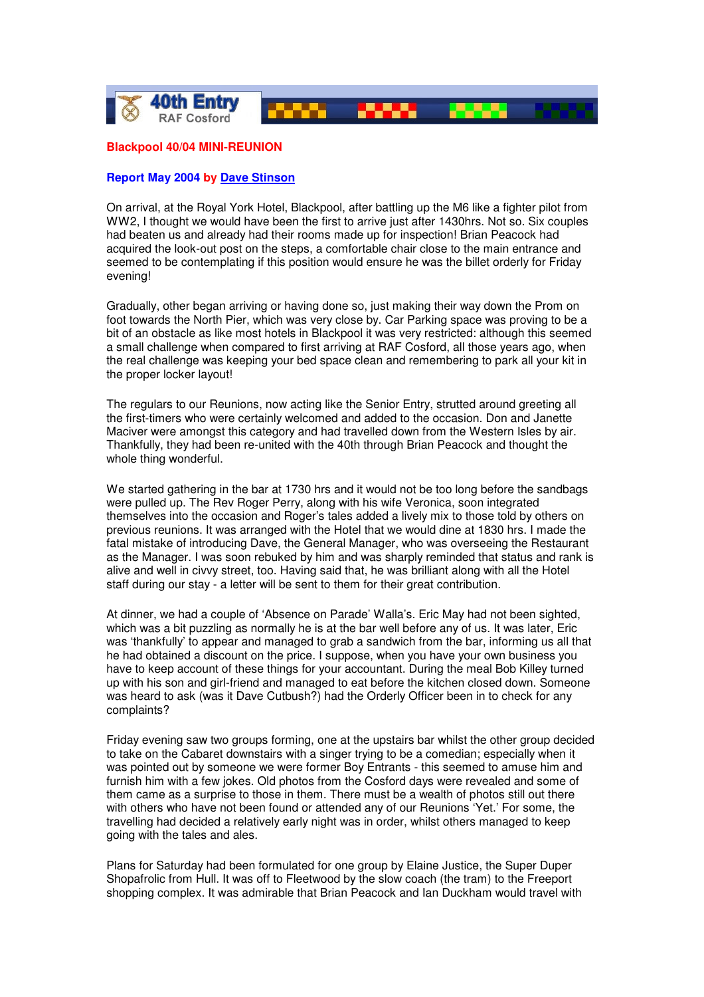

## **Blackpool 40/04 MINI-REUNION**

## **Report May 2004 by Dave Stinson**

On arrival, at the Royal York Hotel, Blackpool, after battling up the M6 like a fighter pilot from WW2, I thought we would have been the first to arrive just after 1430hrs. Not so. Six couples had beaten us and already had their rooms made up for inspection! Brian Peacock had acquired the look-out post on the steps, a comfortable chair close to the main entrance and seemed to be contemplating if this position would ensure he was the billet orderly for Friday evening!

Gradually, other began arriving or having done so, just making their way down the Prom on foot towards the North Pier, which was very close by. Car Parking space was proving to be a bit of an obstacle as like most hotels in Blackpool it was very restricted: although this seemed a small challenge when compared to first arriving at RAF Cosford, all those years ago, when the real challenge was keeping your bed space clean and remembering to park all your kit in the proper locker layout!

The regulars to our Reunions, now acting like the Senior Entry, strutted around greeting all the first-timers who were certainly welcomed and added to the occasion. Don and Janette Maciver were amongst this category and had travelled down from the Western Isles by air. Thankfully, they had been re-united with the 40th through Brian Peacock and thought the whole thing wonderful.

We started gathering in the bar at 1730 hrs and it would not be too long before the sandbags were pulled up. The Rev Roger Perry, along with his wife Veronica, soon integrated themselves into the occasion and Roger's tales added a lively mix to those told by others on previous reunions. It was arranged with the Hotel that we would dine at 1830 hrs. I made the fatal mistake of introducing Dave, the General Manager, who was overseeing the Restaurant as the Manager. I was soon rebuked by him and was sharply reminded that status and rank is alive and well in civvy street, too. Having said that, he was brilliant along with all the Hotel staff during our stay - a letter will be sent to them for their great contribution.

At dinner, we had a couple of 'Absence on Parade' Walla's. Eric May had not been sighted, which was a bit puzzling as normally he is at the bar well before any of us. It was later, Eric was 'thankfully' to appear and managed to grab a sandwich from the bar, informing us all that he had obtained a discount on the price. I suppose, when you have your own business you have to keep account of these things for your accountant. During the meal Bob Killey turned up with his son and girl-friend and managed to eat before the kitchen closed down. Someone was heard to ask (was it Dave Cutbush?) had the Orderly Officer been in to check for any complaints?

Friday evening saw two groups forming, one at the upstairs bar whilst the other group decided to take on the Cabaret downstairs with a singer trying to be a comedian; especially when it was pointed out by someone we were former Boy Entrants - this seemed to amuse him and furnish him with a few jokes. Old photos from the Cosford days were revealed and some of them came as a surprise to those in them. There must be a wealth of photos still out there with others who have not been found or attended any of our Reunions 'Yet.' For some, the travelling had decided a relatively early night was in order, whilst others managed to keep going with the tales and ales.

Plans for Saturday had been formulated for one group by Elaine Justice, the Super Duper Shopafrolic from Hull. It was off to Fleetwood by the slow coach (the tram) to the Freeport shopping complex. It was admirable that Brian Peacock and Ian Duckham would travel with